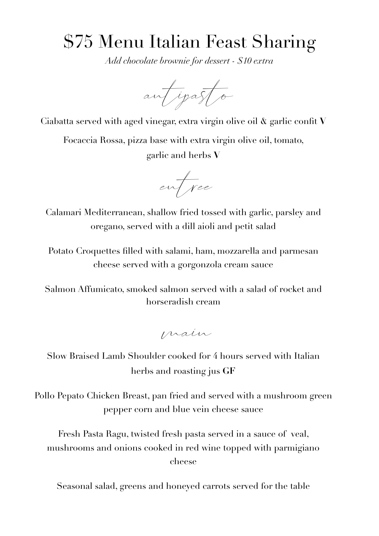## \$75 Menu Italian Feast Sharing

*Add chocolate brownie for dessert - \$10 extra* 

antipasto

Ciabatta served with aged vinegar, extra virgin olive oil & garlic confit **V**

Focaccia Rossa, pizza base with extra virgin olive oil, tomato, garlic and herbs **V**

entree

Calamari Mediterranean, shallow fried tossed with garlic, parsley and oregano, served with a dill aioli and petit salad

Potato Croquettes filled with salami, ham, mozzarella and parmesan cheese served with a gorgonzola cream sauce

Salmon Affumicato, smoked salmon served with a salad of rocket and horseradish cream

main

Slow Braised Lamb Shoulder cooked for 4 hours served with Italian herbs and roasting jus **GF**

Pollo Pepato Chicken Breast, pan fried and served with a mushroom green pepper corn and blue vein cheese sauce

Fresh Pasta Ragu, twisted fresh pasta served in a sauce of veal, mushrooms and onions cooked in red wine topped with parmigiano cheese

Seasonal salad, greens and honeyed carrots served for the table